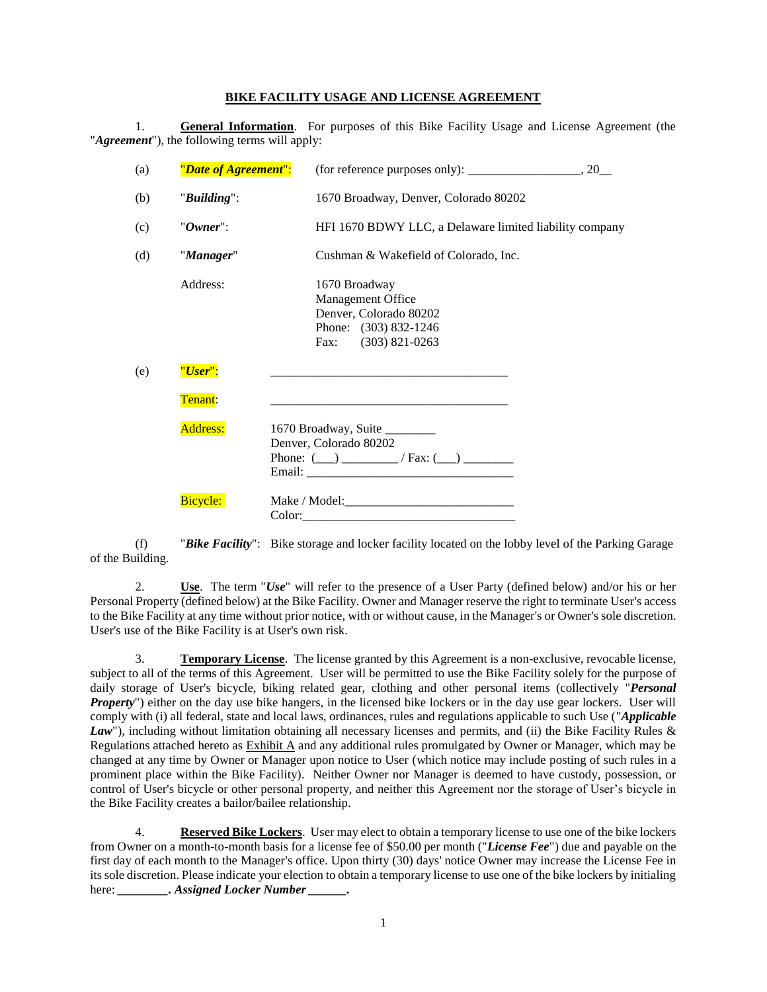## **BIKE FACILITY USAGE AND LICENSE AGREEMENT**

1. **General Information**. For purposes of this Bike Facility Usage and License Agreement (the "*Agreement*"), the following terms will apply:

| (a) | "Date of Agreement": | (for reference purposes only): $\_\_\_\_\_\_\_\_\_$ , 20 $\_\_\_\_\$                                         |
|-----|----------------------|--------------------------------------------------------------------------------------------------------------|
| (b) | "Building":          | 1670 Broadway, Denver, Colorado 80202                                                                        |
| (c) | "Owner":             | HFI 1670 BDWY LLC, a Delaware limited liability company                                                      |
| (d) | "Manager"            | Cushman & Wakefield of Colorado, Inc.                                                                        |
|     | Address:             | 1670 Broadway<br>Management Office<br>Denver, Colorado 80202<br>Phone: (303) 832-1246<br>Fax: (303) 821-0263 |
| (e) | "User":              |                                                                                                              |
|     | Tenant:              |                                                                                                              |
|     | <b>Address:</b>      | 1670 Broadway, Suite<br>Denver, Colorado 80202<br>Phone: $(\_\_)$ $\_\_$ / Fax: $(\_\_)$ $\_\_$              |
|     | Bicycle:             |                                                                                                              |

(f) "*Bike Facility*": Bike storage and locker facility located on the lobby level of the Parking Garage of the Building.

2. **Use**. The term "*Use*" will refer to the presence of a User Party (defined below) and/or his or her Personal Property (defined below) at the Bike Facility. Owner and Manager reserve the right to terminate User's access to the Bike Facility at any time without prior notice, with or without cause, in the Manager's or Owner's sole discretion. User's use of the Bike Facility is at User's own risk.

3. **Temporary License**. The license granted by this Agreement is a non-exclusive, revocable license, subject to all of the terms of this Agreement. User will be permitted to use the Bike Facility solely for the purpose of daily storage of User's bicycle, biking related gear, clothing and other personal items (collectively "*Personal Property*") either on the day use bike hangers, in the licensed bike lockers or in the day use gear lockers. User will comply with (i) all federal, state and local laws, ordinances, rules and regulations applicable to such Use ("*Applicable*  Law"), including without limitation obtaining all necessary licenses and permits, and (ii) the Bike Facility Rules & Regulations attached hereto as Exhibit A and any additional rules promulgated by Owner or Manager, which may be changed at any time by Owner or Manager upon notice to User (which notice may include posting of such rules in a prominent place within the Bike Facility). Neither Owner nor Manager is deemed to have custody, possession, or control of User's bicycle or other personal property, and neither this Agreement nor the storage of User's bicycle in the Bike Facility creates a bailor/bailee relationship.

4. **Reserved Bike Lockers**. User may elect to obtain a temporary license to use one of the bike lockers from Owner on a month-to-month basis for a license fee of \$50.00 per month ("*License Fee*") due and payable on the first day of each month to the Manager's office. Upon thirty (30) days' notice Owner may increase the License Fee in its sole discretion. Please indicate your election to obtain a temporary license to use one of the bike lockers by initialing here: *\_\_\_\_\_\_\_\_\_. Assigned Locker Number*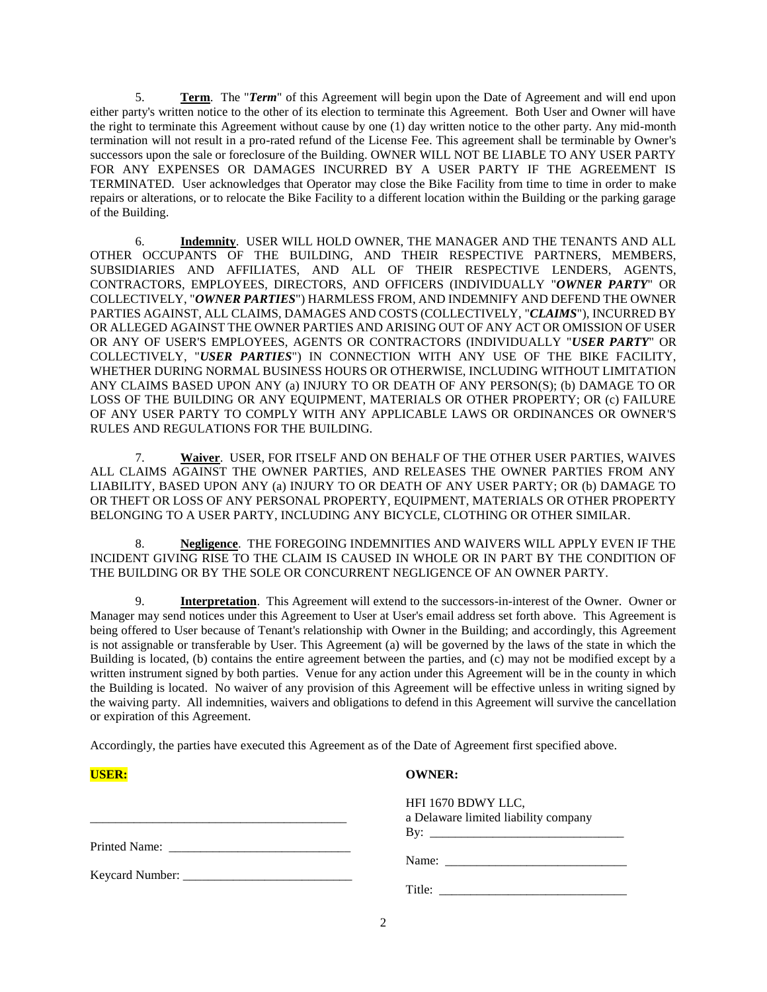5. **Term**. The "*Term*" of this Agreement will begin upon the Date of Agreement and will end upon either party's written notice to the other of its election to terminate this Agreement. Both User and Owner will have the right to terminate this Agreement without cause by one (1) day written notice to the other party. Any mid-month termination will not result in a pro-rated refund of the License Fee. This agreement shall be terminable by Owner's successors upon the sale or foreclosure of the Building. OWNER WILL NOT BE LIABLE TO ANY USER PARTY FOR ANY EXPENSES OR DAMAGES INCURRED BY A USER PARTY IF THE AGREEMENT IS TERMINATED. User acknowledges that Operator may close the Bike Facility from time to time in order to make repairs or alterations, or to relocate the Bike Facility to a different location within the Building or the parking garage of the Building.

6. **Indemnity**. USER WILL HOLD OWNER, THE MANAGER AND THE TENANTS AND ALL OTHER OCCUPANTS OF THE BUILDING, AND THEIR RESPECTIVE PARTNERS, MEMBERS, SUBSIDIARIES AND AFFILIATES, AND ALL OF THEIR RESPECTIVE LENDERS, AGENTS, CONTRACTORS, EMPLOYEES, DIRECTORS, AND OFFICERS (INDIVIDUALLY "*OWNER PARTY*" OR COLLECTIVELY, "*OWNER PARTIES*") HARMLESS FROM, AND INDEMNIFY AND DEFEND THE OWNER PARTIES AGAINST, ALL CLAIMS, DAMAGES AND COSTS (COLLECTIVELY, "*CLAIMS*"), INCURRED BY OR ALLEGED AGAINST THE OWNER PARTIES AND ARISING OUT OF ANY ACT OR OMISSION OF USER OR ANY OF USER'S EMPLOYEES, AGENTS OR CONTRACTORS (INDIVIDUALLY "*USER PARTY*" OR COLLECTIVELY, "*USER PARTIES*") IN CONNECTION WITH ANY USE OF THE BIKE FACILITY, WHETHER DURING NORMAL BUSINESS HOURS OR OTHERWISE, INCLUDING WITHOUT LIMITATION ANY CLAIMS BASED UPON ANY (a) INJURY TO OR DEATH OF ANY PERSON(S); (b) DAMAGE TO OR LOSS OF THE BUILDING OR ANY EQUIPMENT, MATERIALS OR OTHER PROPERTY; OR (c) FAILURE OF ANY USER PARTY TO COMPLY WITH ANY APPLICABLE LAWS OR ORDINANCES OR OWNER'S RULES AND REGULATIONS FOR THE BUILDING.

7. **Waiver**. USER, FOR ITSELF AND ON BEHALF OF THE OTHER USER PARTIES, WAIVES ALL CLAIMS AGAINST THE OWNER PARTIES, AND RELEASES THE OWNER PARTIES FROM ANY LIABILITY, BASED UPON ANY (a) INJURY TO OR DEATH OF ANY USER PARTY; OR (b) DAMAGE TO OR THEFT OR LOSS OF ANY PERSONAL PROPERTY, EQUIPMENT, MATERIALS OR OTHER PROPERTY BELONGING TO A USER PARTY, INCLUDING ANY BICYCLE, CLOTHING OR OTHER SIMILAR.

8. **Negligence**. THE FOREGOING INDEMNITIES AND WAIVERS WILL APPLY EVEN IF THE INCIDENT GIVING RISE TO THE CLAIM IS CAUSED IN WHOLE OR IN PART BY THE CONDITION OF THE BUILDING OR BY THE SOLE OR CONCURRENT NEGLIGENCE OF AN OWNER PARTY.

9. **Interpretation**. This Agreement will extend to the successors-in-interest of the Owner. Owner or Manager may send notices under this Agreement to User at User's email address set forth above. This Agreement is being offered to User because of Tenant's relationship with Owner in the Building; and accordingly, this Agreement is not assignable or transferable by User. This Agreement (a) will be governed by the laws of the state in which the Building is located, (b) contains the entire agreement between the parties, and (c) may not be modified except by a written instrument signed by both parties. Venue for any action under this Agreement will be in the county in which the Building is located. No waiver of any provision of this Agreement will be effective unless in writing signed by the waiving party. All indemnities, waivers and obligations to defend in this Agreement will survive the cancellation or expiration of this Agreement.

Accordingly, the parties have executed this Agreement as of the Date of Agreement first specified above.

| <b>USER:</b> | <b>OWNER:</b>                        |
|--------------|--------------------------------------|
|              | HFI 1670 BDWY LLC,                   |
|              | a Delaware limited liability company |
|              |                                      |
|              |                                      |
|              |                                      |
|              |                                      |
|              | Title: $\qquad \qquad$               |